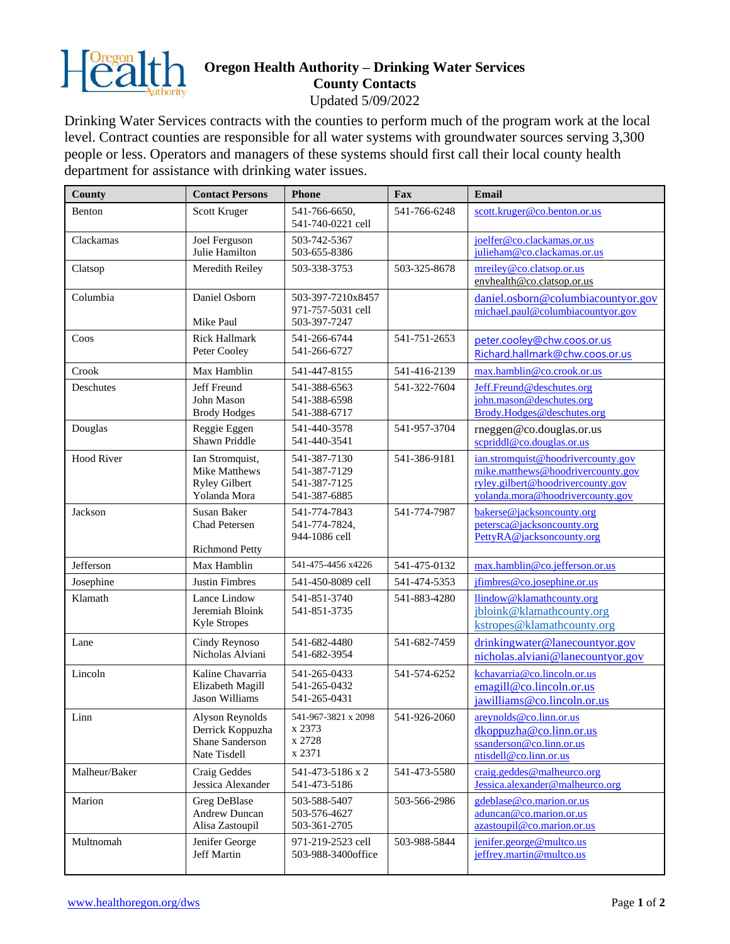

## **Oregon Health Authority – Drinking Water Services County Contacts**

Updated 5/09/2022

Drinking Water Services contracts with the counties to perform much of the program work at the local level. Contract counties are responsible for all water systems with groundwater sources serving 3,300 people or less. Operators and managers of these systems should first call their local county health department for assistance with drinking water issues.

| <b>County</b>     | <b>Contact Persons</b>                                                   | <b>Phone</b>                                                 | Fax          | Email                                                                                                                                            |
|-------------------|--------------------------------------------------------------------------|--------------------------------------------------------------|--------------|--------------------------------------------------------------------------------------------------------------------------------------------------|
| Benton            | Scott Kruger                                                             | 541-766-6650,<br>541-740-0221 cell                           | 541-766-6248 | scott.kruger@co.benton.or.us                                                                                                                     |
| Clackamas         | Joel Ferguson<br>Julie Hamilton                                          | 503-742-5367<br>503-655-8386                                 |              | joelfer@co.clackamas.or.us<br>julieham@co.clackamas.or.us                                                                                        |
| Clatsop           | Meredith Reiley                                                          | 503-338-3753                                                 | 503-325-8678 | mreiley@co.clatsop.or.us<br>envhealth@co.clatsop.or.us                                                                                           |
| Columbia          | Daniel Osborn<br>Mike Paul                                               | 503-397-7210x8457<br>971-757-5031 cell<br>503-397-7247       |              | daniel.osborn@columbiacountyor.gov<br>michael.paul@columbiacountyor.gov                                                                          |
| Coos              | <b>Rick Hallmark</b><br>Peter Cooley                                     | 541-266-6744<br>541-266-6727                                 | 541-751-2653 | peter.cooley@chw.coos.or.us<br>Richard.hallmark@chw.coos.or.us                                                                                   |
| Crook             | Max Hamblin                                                              | 541-447-8155                                                 | 541-416-2139 | max.hamblin@co.crook.or.us                                                                                                                       |
| Deschutes         | Jeff Freund<br>John Mason<br><b>Brody Hodges</b>                         | 541-388-6563<br>541-388-6598<br>541-388-6717                 | 541-322-7604 | Jeff.Freund@deschutes.org<br>john.mason@deschutes.org<br>Brody.Hodges@deschutes.org                                                              |
| Douglas           | Reggie Eggen<br><b>Shawn Priddle</b>                                     | 541-440-3578<br>541-440-3541                                 | 541-957-3704 | rneggen@co.douglas.or.us<br>scpriddl@co.douglas.or.us                                                                                            |
| <b>Hood River</b> | Ian Stromquist,<br>Mike Matthews<br><b>Ryley Gilbert</b><br>Yolanda Mora | 541-387-7130<br>541-387-7129<br>541-387-7125<br>541-387-6885 | 541-386-9181 | ian.stromquist@hoodrivercounty.gov<br>mike.matthews@hoodrivercounty.gov<br>ryley.gilbert@hoodrivercounty.gov<br>yolanda.mora@hoodrivercounty.gov |
| Jackson           | <b>Susan Baker</b><br><b>Chad Petersen</b><br><b>Richmond Petty</b>      | 541-774-7843<br>541-774-7824,<br>944-1086 cell               | 541-774-7987 | bakerse@jacksoncounty.org<br>petersca@jacksoncounty.org<br>PettyRA@jacksoncounty.org                                                             |
| Jefferson         | Max Hamblin                                                              | 541-475-4456 x4226                                           | 541-475-0132 | max.hamblin@co.jefferson.or.us                                                                                                                   |
| Josephine         | <b>Justin Fimbres</b>                                                    | 541-450-8089 cell                                            | 541-474-5353 | jfimbres@co.josephine.or.us                                                                                                                      |
| Klamath           | Lance Lindow<br>Jeremiah Bloink<br><b>Kyle Stropes</b>                   | 541-851-3740<br>541-851-3735                                 | 541-883-4280 | llindow@klamathcounty.org<br>jbloink@klamathcounty.org<br>kstropes@klamathcounty.org                                                             |
| Lane              | Cindy Reynoso<br>Nicholas Alviani                                        | 541-682-4480<br>541-682-3954                                 | 541-682-7459 | drinkingwater@lanecountyor.gov<br>nicholas.alviani@lanecountyor.gov                                                                              |
| Lincoln           | Kaline Chavarria<br>Elizabeth Magill<br>Jason Williams                   | 541-265-0433<br>541-265-0432<br>541-265-0431                 | 541-574-6252 | kchavarria@co.lincoln.or.us<br>emagill@co.lincoln.or.us<br>jawilliams@co.lincoln.or.us                                                           |
| Linn              | Alyson Reynolds<br>Derrick Koppuzha<br>Shane Sanderson<br>Nate Tisdell   | 541-967-3821 x 2098<br>x 2373<br>x 2728<br>x 2371            | 541-926-2060 | $are$ vnolds@co.linn.or.us<br>dkoppuzha@co.linn.or.us<br>ssanderson@co.linn.or.us<br>ntisdell@co.linn.or.us                                      |
| Malheur/Baker     | Craig Geddes<br>Jessica Alexander                                        | 541-473-5186 x 2<br>541-473-5186                             | 541-473-5580 | craig.geddes@malheurco.org<br>Jessica.alexander@malheurco.org                                                                                    |
| Marion            | <b>Greg DeBlase</b><br>Andrew Duncan<br>Alisa Zastoupil                  | 503-588-5407<br>503-576-4627<br>503-361-2705                 | 503-566-2986 | gdeblase@co.marion.or.us<br>aduncan@co.marion.or.us<br>azastoupil@co.marion.or.us                                                                |
| Multnomah         | Jenifer George<br>Jeff Martin                                            | 971-219-2523 cell<br>503-988-3400office                      | 503-988-5844 | jenifer.george@multco.us<br>jeffrey.martin@multco.us                                                                                             |